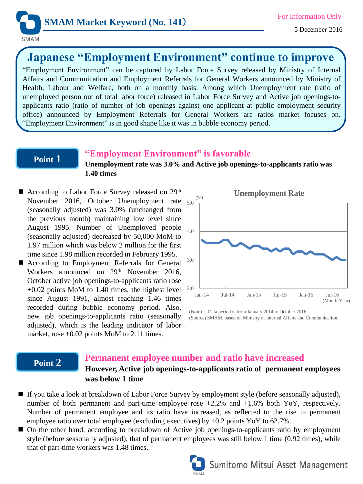

# **Japanese "Employment Environment" continue to improve**

"Employment Environment" can be captured by Labor Force Survey released by Ministry of Internal Affairs and Communication and Employment Referrals for General Workers announced by Ministry of Health, Labour and Welfare, both on a monthly basis. Among which Unemployment rate (ratio of unemployed person out of total labor force) released in Labor Force Survey and Active job openings-toapplicants ratio (ratio of number of job openings against one applicant at public employment security office) announced by Employment Referrals for General Workers are ratios market focuses on. "Employment Environment" is in good shape like it was in bubble economy period.

### **Point 1**

## **"Employment Environment" is favorable**

**Unemployment rate was 3.0% and Active job openings-to-applicants ratio was 1.40 times**

- November 2016, October Unemployment rate 5.0 ■ According to Labor Force Survey released on 29<sup>th</sup> (seasonally adjusted) was 3.0% (unchanged from the previous month) maintaining low level since August 1995. Number of Unemployed people (seasonally adjusted) decreased by 50,000 MoM to 1.97 million which was below 2 million for the first time since 1.98 million recorded in February 1995.
- According to Employment Referrals for General Workers announced on 29<sup>th</sup> November 2016, October active job openings-to-applicants ratio rose +0.02 points MoM to 1.40 times, the highest level since August 1991, almost reaching 1.46 times recorded during bubble economy period. Also, new job openings-to-applicants ratio (seasonally adjusted), which is the leading indicator of labor market, rose  $+0.02$  points MoM to 2.11 times.



(Note) Data period is from January 2014 to October 2016. (Source) SMAM, based on Ministry of Internal Affairs and Communication.

### **Point 2 Permanent employee number and ratio have increased However, Active job openings-to-applicants ratio of permanent employees was below 1 time**

- If you take a look at breakdown of Labor Force Survey by employment style (before seasonally adjusted), number of both permanent and part-time employee rose +2.2% and +1.6% both YoY, respectively. Number of permanent employee and its ratio have increased, as reflected to the rise in permanent employee ratio over total employee (excluding executives) by +0.2 points YoY to 62.7%.
- On the other hand, according to breakdown of Active job openings-to-applicants ratio by employment style (before seasonally adjusted), that of permanent employees was still below 1 time (0.92 times), while that of part-time workers was 1.48 times.